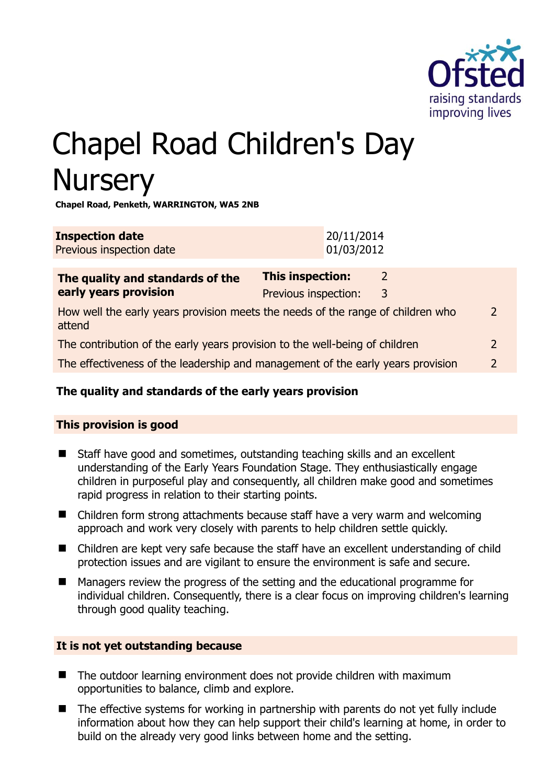

# Chapel Road Children's Day **Nursery**

**Chapel Road, Penketh, WARRINGTON, WA5 2NB** 

| <b>Inspection date</b><br>Previous inspection date                                        |                                                 | 20/11/2014<br>01/03/2012 |                    |  |
|-------------------------------------------------------------------------------------------|-------------------------------------------------|--------------------------|--------------------|--|
| The quality and standards of the<br>early years provision                                 | <b>This inspection:</b><br>Previous inspection: |                          | $\mathcal{L}$<br>3 |  |
| How well the early years provision meets the needs of the range of children who<br>attend |                                                 |                          |                    |  |
| The contribution of the early years provision to the well-being of children               |                                                 |                          |                    |  |
| The effectiveness of the leadership and management of the early years provision           |                                                 |                          |                    |  |

# **The quality and standards of the early years provision**

# **This provision is good**

- Staff have good and sometimes, outstanding teaching skills and an excellent understanding of the Early Years Foundation Stage. They enthusiastically engage children in purposeful play and consequently, all children make good and sometimes rapid progress in relation to their starting points.
- Children form strong attachments because staff have a very warm and welcoming approach and work very closely with parents to help children settle quickly.
- Children are kept very safe because the staff have an excellent understanding of child protection issues and are vigilant to ensure the environment is safe and secure.
- Managers review the progress of the setting and the educational programme for individual children. Consequently, there is a clear focus on improving children's learning through good quality teaching.

#### **It is not yet outstanding because**

- The outdoor learning environment does not provide children with maximum opportunities to balance, climb and explore.
- The effective systems for working in partnership with parents do not yet fully include information about how they can help support their child's learning at home, in order to build on the already very good links between home and the setting.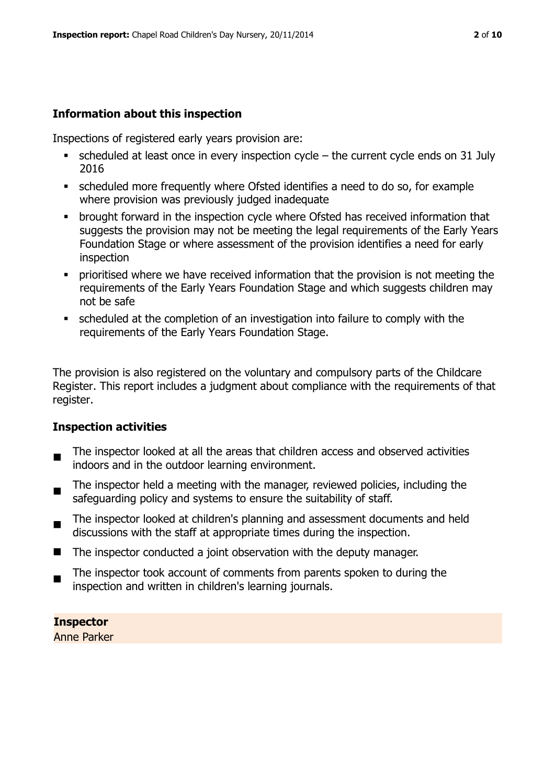# **Information about this inspection**

Inspections of registered early years provision are:

- $\bullet$  scheduled at least once in every inspection cycle the current cycle ends on 31 July 2016
- scheduled more frequently where Ofsted identifies a need to do so, for example where provision was previously judged inadequate
- **•** brought forward in the inspection cycle where Ofsted has received information that suggests the provision may not be meeting the legal requirements of the Early Years Foundation Stage or where assessment of the provision identifies a need for early inspection
- **Prioritised where we have received information that the provision is not meeting the** requirements of the Early Years Foundation Stage and which suggests children may not be safe
- scheduled at the completion of an investigation into failure to comply with the requirements of the Early Years Foundation Stage.

The provision is also registered on the voluntary and compulsory parts of the Childcare Register. This report includes a judgment about compliance with the requirements of that register.

# **Inspection activities**

- . The inspector looked at all the areas that children access and observed activities indoors and in the outdoor learning environment.
- The inspector held a meeting with the manager, reviewed policies, including the safeguarding policy and systems to ensure the suitability of staff.
- $\blacksquare$ The inspector looked at children's planning and assessment documents and held discussions with the staff at appropriate times during the inspection.
- The inspector conducted a joint observation with the deputy manager.
- The inspector took account of comments from parents spoken to during the inspection and written in children's learning journals.

**Inspector** 

Anne Parker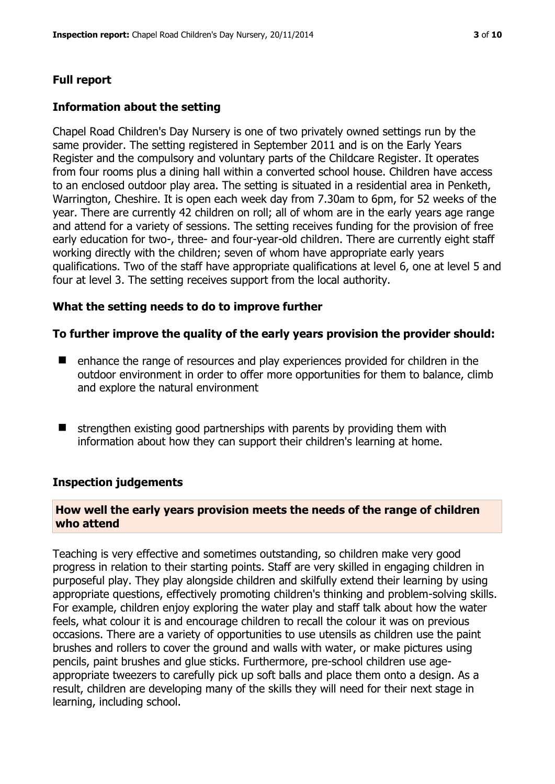# **Full report**

#### **Information about the setting**

Chapel Road Children's Day Nursery is one of two privately owned settings run by the same provider. The setting registered in September 2011 and is on the Early Years Register and the compulsory and voluntary parts of the Childcare Register. It operates from four rooms plus a dining hall within a converted school house. Children have access to an enclosed outdoor play area. The setting is situated in a residential area in Penketh, Warrington, Cheshire. It is open each week day from 7.30am to 6pm, for 52 weeks of the year. There are currently 42 children on roll; all of whom are in the early years age range and attend for a variety of sessions. The setting receives funding for the provision of free early education for two-, three- and four-year-old children. There are currently eight staff working directly with the children; seven of whom have appropriate early years qualifications. Two of the staff have appropriate qualifications at level 6, one at level 5 and four at level 3. The setting receives support from the local authority.

#### **What the setting needs to do to improve further**

#### **To further improve the quality of the early years provision the provider should:**

- enhance the range of resources and play experiences provided for children in the outdoor environment in order to offer more opportunities for them to balance, climb and explore the natural environment
- $\blacksquare$  strengthen existing good partnerships with parents by providing them with information about how they can support their children's learning at home.

#### **Inspection judgements**

# **How well the early years provision meets the needs of the range of children who attend**

Teaching is very effective and sometimes outstanding, so children make very good progress in relation to their starting points. Staff are very skilled in engaging children in purposeful play. They play alongside children and skilfully extend their learning by using appropriate questions, effectively promoting children's thinking and problem-solving skills. For example, children enjoy exploring the water play and staff talk about how the water feels, what colour it is and encourage children to recall the colour it was on previous occasions. There are a variety of opportunities to use utensils as children use the paint brushes and rollers to cover the ground and walls with water, or make pictures using pencils, paint brushes and glue sticks. Furthermore, pre-school children use ageappropriate tweezers to carefully pick up soft balls and place them onto a design. As a result, children are developing many of the skills they will need for their next stage in learning, including school.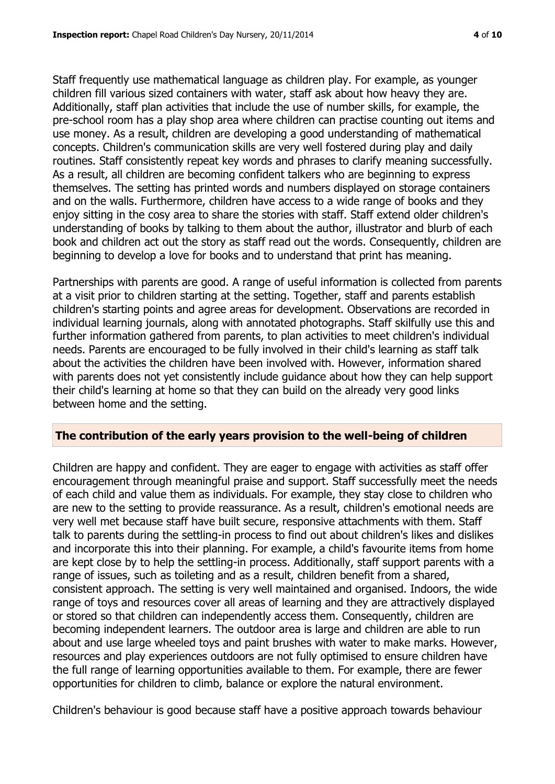Staff frequently use mathematical language as children play. For example, as younger children fill various sized containers with water, staff ask about how heavy they are. Additionally, staff plan activities that include the use of number skills, for example, the pre-school room has a play shop area where children can practise counting out items and use money. As a result, children are developing a good understanding of mathematical concepts. Children's communication skills are very well fostered during play and daily routines. Staff consistently repeat key words and phrases to clarify meaning successfully. As a result, all children are becoming confident talkers who are beginning to express themselves. The setting has printed words and numbers displayed on storage containers and on the walls. Furthermore, children have access to a wide range of books and they enjoy sitting in the cosy area to share the stories with staff. Staff extend older children's understanding of books by talking to them about the author, illustrator and blurb of each book and children act out the story as staff read out the words. Consequently, children are beginning to develop a love for books and to understand that print has meaning.

Partnerships with parents are good. A range of useful information is collected from parents at a visit prior to children starting at the setting. Together, staff and parents establish children's starting points and agree areas for development. Observations are recorded in individual learning journals, along with annotated photographs. Staff skilfully use this and further information gathered from parents, to plan activities to meet children's individual needs. Parents are encouraged to be fully involved in their child's learning as staff talk about the activities the children have been involved with. However, information shared with parents does not yet consistently include guidance about how they can help support their child's learning at home so that they can build on the already very good links between home and the setting.

#### **The contribution of the early years provision to the well-being of children**

Children are happy and confident. They are eager to engage with activities as staff offer encouragement through meaningful praise and support. Staff successfully meet the needs of each child and value them as individuals. For example, they stay close to children who are new to the setting to provide reassurance. As a result, children's emotional needs are very well met because staff have built secure, responsive attachments with them. Staff talk to parents during the settling-in process to find out about children's likes and dislikes and incorporate this into their planning. For example, a child's favourite items from home are kept close by to help the settling-in process. Additionally, staff support parents with a range of issues, such as toileting and as a result, children benefit from a shared, consistent approach. The setting is very well maintained and organised. Indoors, the wide range of toys and resources cover all areas of learning and they are attractively displayed or stored so that children can independently access them. Consequently, children are becoming independent learners. The outdoor area is large and children are able to run about and use large wheeled toys and paint brushes with water to make marks. However, resources and play experiences outdoors are not fully optimised to ensure children have the full range of learning opportunities available to them. For example, there are fewer opportunities for children to climb, balance or explore the natural environment.

Children's behaviour is good because staff have a positive approach towards behaviour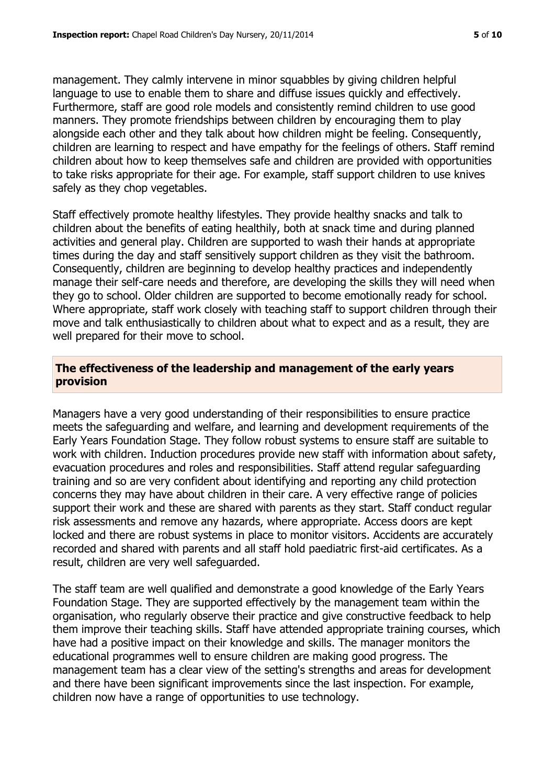management. They calmly intervene in minor squabbles by giving children helpful language to use to enable them to share and diffuse issues quickly and effectively. Furthermore, staff are good role models and consistently remind children to use good manners. They promote friendships between children by encouraging them to play alongside each other and they talk about how children might be feeling. Consequently, children are learning to respect and have empathy for the feelings of others. Staff remind children about how to keep themselves safe and children are provided with opportunities to take risks appropriate for their age. For example, staff support children to use knives safely as they chop vegetables.

Staff effectively promote healthy lifestyles. They provide healthy snacks and talk to children about the benefits of eating healthily, both at snack time and during planned activities and general play. Children are supported to wash their hands at appropriate times during the day and staff sensitively support children as they visit the bathroom. Consequently, children are beginning to develop healthy practices and independently manage their self-care needs and therefore, are developing the skills they will need when they go to school. Older children are supported to become emotionally ready for school. Where appropriate, staff work closely with teaching staff to support children through their move and talk enthusiastically to children about what to expect and as a result, they are well prepared for their move to school.

#### **The effectiveness of the leadership and management of the early years provision**

Managers have a very good understanding of their responsibilities to ensure practice meets the safeguarding and welfare, and learning and development requirements of the Early Years Foundation Stage. They follow robust systems to ensure staff are suitable to work with children. Induction procedures provide new staff with information about safety, evacuation procedures and roles and responsibilities. Staff attend regular safeguarding training and so are very confident about identifying and reporting any child protection concerns they may have about children in their care. A very effective range of policies support their work and these are shared with parents as they start. Staff conduct regular risk assessments and remove any hazards, where appropriate. Access doors are kept locked and there are robust systems in place to monitor visitors. Accidents are accurately recorded and shared with parents and all staff hold paediatric first-aid certificates. As a result, children are very well safeguarded.

The staff team are well qualified and demonstrate a good knowledge of the Early Years Foundation Stage. They are supported effectively by the management team within the organisation, who regularly observe their practice and give constructive feedback to help them improve their teaching skills. Staff have attended appropriate training courses, which have had a positive impact on their knowledge and skills. The manager monitors the educational programmes well to ensure children are making good progress. The management team has a clear view of the setting's strengths and areas for development and there have been significant improvements since the last inspection. For example, children now have a range of opportunities to use technology.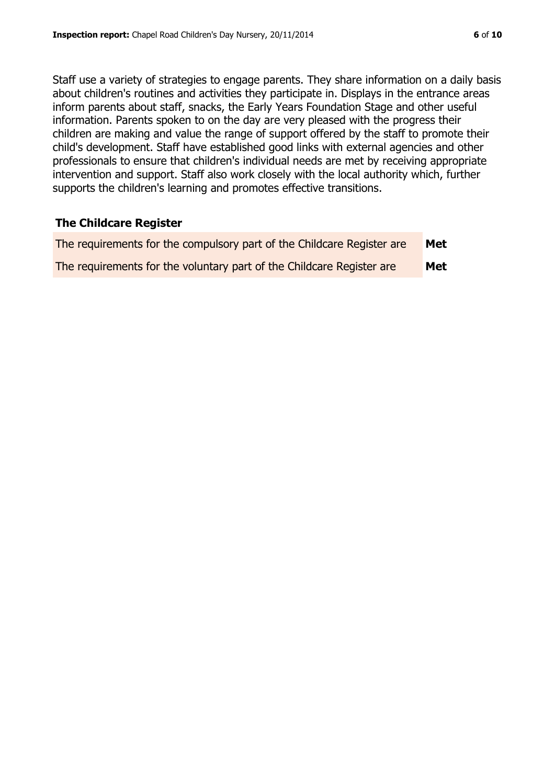Staff use a variety of strategies to engage parents. They share information on a daily basis about children's routines and activities they participate in. Displays in the entrance areas inform parents about staff, snacks, the Early Years Foundation Stage and other useful information. Parents spoken to on the day are very pleased with the progress their children are making and value the range of support offered by the staff to promote their child's development. Staff have established good links with external agencies and other professionals to ensure that children's individual needs are met by receiving appropriate intervention and support. Staff also work closely with the local authority which, further supports the children's learning and promotes effective transitions.

#### **The Childcare Register**

| The requirements for the compulsory part of the Childcare Register are | Met |
|------------------------------------------------------------------------|-----|
| The requirements for the voluntary part of the Childcare Register are  | Met |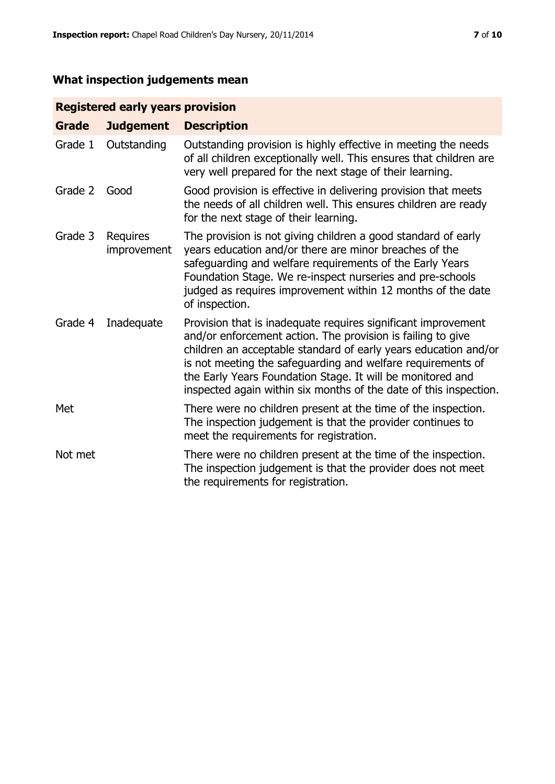# **What inspection judgements mean**

# **Registered early years provision**

| <b>Grade</b> | <b>Judgement</b>        | <b>Description</b>                                                                                                                                                                                                                                                                                                                                                                                |
|--------------|-------------------------|---------------------------------------------------------------------------------------------------------------------------------------------------------------------------------------------------------------------------------------------------------------------------------------------------------------------------------------------------------------------------------------------------|
| Grade 1      | Outstanding             | Outstanding provision is highly effective in meeting the needs<br>of all children exceptionally well. This ensures that children are<br>very well prepared for the next stage of their learning.                                                                                                                                                                                                  |
| Grade 2      | Good                    | Good provision is effective in delivering provision that meets<br>the needs of all children well. This ensures children are ready<br>for the next stage of their learning.                                                                                                                                                                                                                        |
| Grade 3      | Requires<br>improvement | The provision is not giving children a good standard of early<br>years education and/or there are minor breaches of the<br>safeguarding and welfare requirements of the Early Years<br>Foundation Stage. We re-inspect nurseries and pre-schools<br>judged as requires improvement within 12 months of the date<br>of inspection.                                                                 |
| Grade 4      | Inadequate              | Provision that is inadequate requires significant improvement<br>and/or enforcement action. The provision is failing to give<br>children an acceptable standard of early years education and/or<br>is not meeting the safeguarding and welfare requirements of<br>the Early Years Foundation Stage. It will be monitored and<br>inspected again within six months of the date of this inspection. |
| Met          |                         | There were no children present at the time of the inspection.<br>The inspection judgement is that the provider continues to<br>meet the requirements for registration.                                                                                                                                                                                                                            |
| Not met      |                         | There were no children present at the time of the inspection.<br>The inspection judgement is that the provider does not meet<br>the requirements for registration.                                                                                                                                                                                                                                |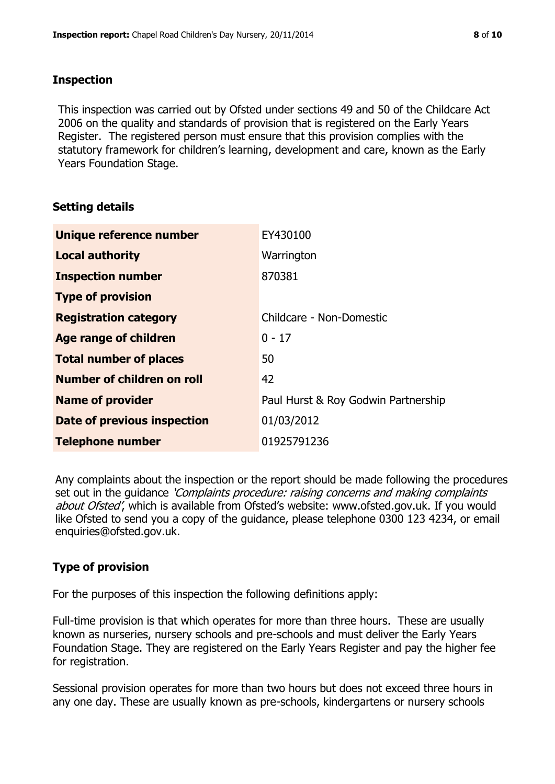#### **Inspection**

This inspection was carried out by Ofsted under sections 49 and 50 of the Childcare Act 2006 on the quality and standards of provision that is registered on the Early Years Register. The registered person must ensure that this provision complies with the statutory framework for children's learning, development and care, known as the Early Years Foundation Stage.

#### **Setting details**

| Unique reference number       | EY430100                            |
|-------------------------------|-------------------------------------|
| <b>Local authority</b>        | Warrington                          |
| <b>Inspection number</b>      | 870381                              |
| <b>Type of provision</b>      |                                     |
| <b>Registration category</b>  | Childcare - Non-Domestic            |
| Age range of children         | $0 - 17$                            |
| <b>Total number of places</b> | 50                                  |
| Number of children on roll    | 42                                  |
| <b>Name of provider</b>       | Paul Hurst & Roy Godwin Partnership |
| Date of previous inspection   | 01/03/2012                          |
| <b>Telephone number</b>       | 01925791236                         |

Any complaints about the inspection or the report should be made following the procedures set out in the guidance *'Complaints procedure: raising concerns and making complaints* about Ofsted', which is available from Ofsted's website: www.ofsted.gov.uk. If you would like Ofsted to send you a copy of the guidance, please telephone 0300 123 4234, or email enquiries@ofsted.gov.uk.

# **Type of provision**

For the purposes of this inspection the following definitions apply:

Full-time provision is that which operates for more than three hours. These are usually known as nurseries, nursery schools and pre-schools and must deliver the Early Years Foundation Stage. They are registered on the Early Years Register and pay the higher fee for registration.

Sessional provision operates for more than two hours but does not exceed three hours in any one day. These are usually known as pre-schools, kindergartens or nursery schools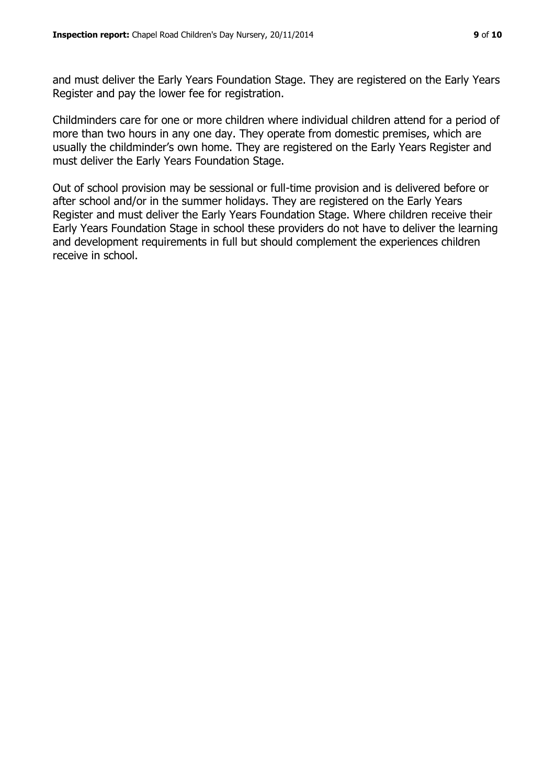and must deliver the Early Years Foundation Stage. They are registered on the Early Years Register and pay the lower fee for registration.

Childminders care for one or more children where individual children attend for a period of more than two hours in any one day. They operate from domestic premises, which are usually the childminder's own home. They are registered on the Early Years Register and must deliver the Early Years Foundation Stage.

Out of school provision may be sessional or full-time provision and is delivered before or after school and/or in the summer holidays. They are registered on the Early Years Register and must deliver the Early Years Foundation Stage. Where children receive their Early Years Foundation Stage in school these providers do not have to deliver the learning and development requirements in full but should complement the experiences children receive in school.